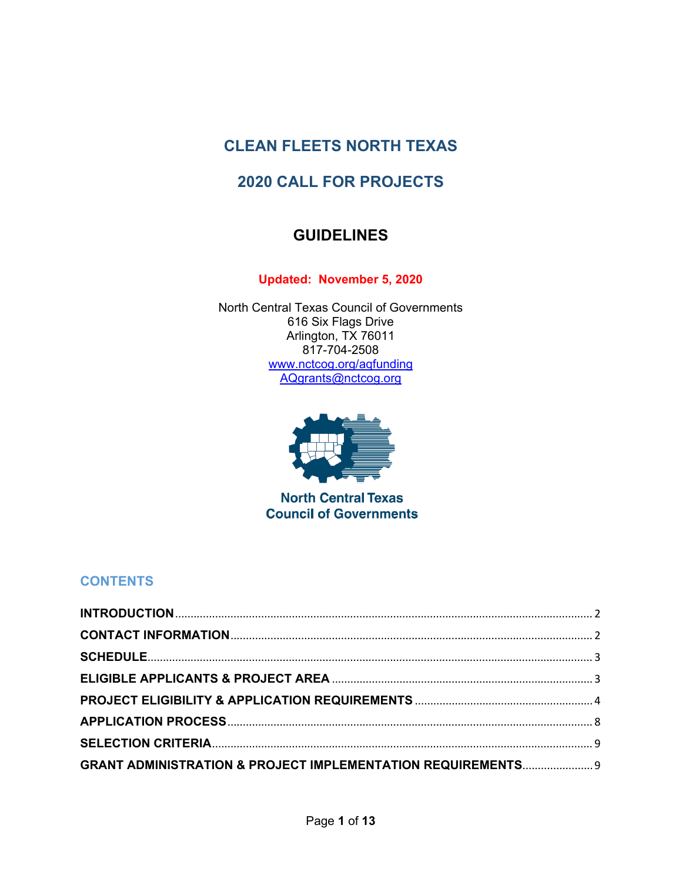# **CLEAN FLEETS NORTH TEXAS**

# **2020 CALL FOR PROJECTS**

# **GUIDELINES**

**Updated: November 5, 2020**

North Central Texas Council of Governments 616 Six Flags Drive Arlington, TX 76011 817-704-2508 [www.nctcog.org/aqfunding](http://www.nctcog.org/aqfunding) [AQgrants@nctcog.org](mailto:AQgrants@nctcog.org)



**North Central Texas Council of Governments** 

# **CONTENTS**

| <b>GRANT ADMINISTRATION &amp; PROJECT IMPLEMENTATION REQUIREMENTS 9</b> |  |
|-------------------------------------------------------------------------|--|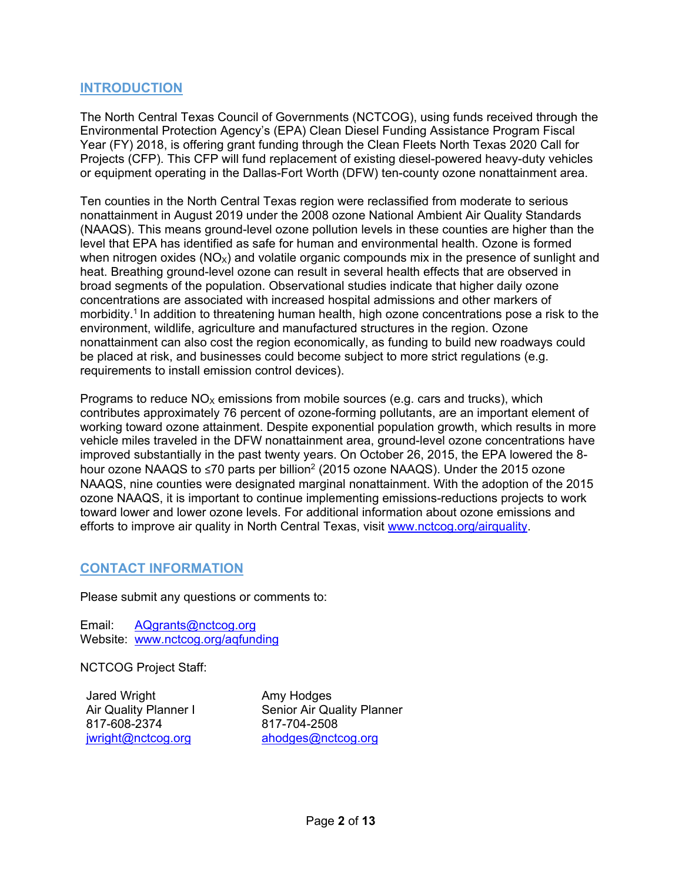## <span id="page-1-0"></span>**INTRODUCTION**

The North Central Texas Council of Governments (NCTCOG), using funds received through the Environmental Protection Agency's (EPA) Clean Diesel Funding Assistance Program Fiscal Year (FY) 2018, is offering grant funding through the Clean Fleets North Texas 2020 Call for Projects (CFP). This CFP will fund replacement of existing diesel-powered heavy-duty vehicles or equipment operating in the Dallas-Fort Worth (DFW) ten-county ozone nonattainment area.

Ten counties in the North Central Texas region were reclassified from moderate to serious nonattainment in August 2019 under the 2008 ozone National Ambient Air Quality Standards (NAAQS). This means ground-level ozone pollution levels in these counties are higher than the level that EPA has identified as safe for human and environmental health. Ozone is formed when nitrogen oxides ( $NO<sub>x</sub>$ ) and volatile organic compounds mix in the presence of sunlight and heat. Breathing ground-level ozone can result in several health effects that are observed in broad segments of the population. Observational studies indicate that higher daily ozone concentrations are associated with increased hospital admissions and other markers of morbidity.1 In addition to threatening human health, high ozone concentrations pose a risk to the environment, wildlife, agriculture and manufactured structures in the region. Ozone nonattainment can also cost the region economically, as funding to build new roadways could be placed at risk, and businesses could become subject to more strict regulations (e.g. requirements to install emission control devices).

Programs to reduce  $NO<sub>x</sub>$  emissions from mobile sources (e.g. cars and trucks), which contributes approximately 76 percent of ozone-forming pollutants, are an important element of working toward ozone attainment. Despite exponential population growth, which results in more vehicle miles traveled in the DFW nonattainment area, ground-level ozone concentrations have improved substantially in the past twenty years. On October 26, 2015, the EPA lowered the 8 hour ozone NAAQS to ≤70 parts per billion<sup>2</sup> (2015 ozone NAAQS). Under the 2015 ozone NAAQS, nine counties were designated marginal nonattainment. With the adoption of the 2015 ozone NAAQS, it is important to continue implementing emissions-reductions projects to work toward lower and lower ozone levels. For additional information about ozone emissions and efforts to improve air quality in North Central Texas, visit [www.nctcog.org/airquality.](http://www.nctcog.org/airquality)

# <span id="page-1-1"></span>**CONTACT INFORMATION**

Please submit any questions or comments to:

Email: [AQgrants@nctcog.org](mailto:AQgrants@nctcog.org) Website: www.nctcog.org/aqfunding

NCTCOG Project Staff:

Jared Wright Air Quality Planner I 817-608-2374 iwright@nctcog.org

Amy Hodges Senior Air Quality Planner 817-704-2508 [ahodges@nctcog.org](mailto:ahodges@nctcog.org)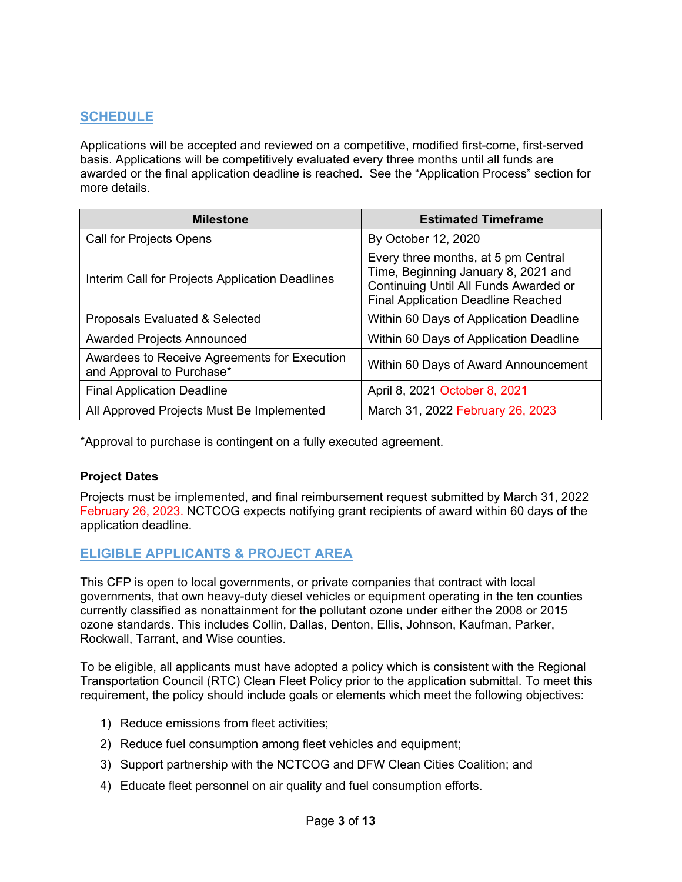# <span id="page-2-0"></span>**SCHEDULE**

Applications will be accepted and reviewed on a competitive, modified first-come, first-served basis. Applications will be competitively evaluated every three months until all funds are awarded or the final application deadline is reached. See the "Application Process" section for more details.

| <b>Milestone</b>                                                          | <b>Estimated Timeframe</b>                                                                                                                                       |  |  |
|---------------------------------------------------------------------------|------------------------------------------------------------------------------------------------------------------------------------------------------------------|--|--|
| <b>Call for Projects Opens</b>                                            | By October 12, 2020                                                                                                                                              |  |  |
| Interim Call for Projects Application Deadlines                           | Every three months, at 5 pm Central<br>Time, Beginning January 8, 2021 and<br>Continuing Until All Funds Awarded or<br><b>Final Application Deadline Reached</b> |  |  |
| Proposals Evaluated & Selected                                            | Within 60 Days of Application Deadline                                                                                                                           |  |  |
| <b>Awarded Projects Announced</b>                                         | Within 60 Days of Application Deadline                                                                                                                           |  |  |
| Awardees to Receive Agreements for Execution<br>and Approval to Purchase* | Within 60 Days of Award Announcement                                                                                                                             |  |  |
| <b>Final Application Deadline</b>                                         | April 8, 2021 October 8, 2021                                                                                                                                    |  |  |
| All Approved Projects Must Be Implemented                                 | March 31, 2022 February 26, 2023                                                                                                                                 |  |  |

\*Approval to purchase is contingent on a fully executed agreement.

#### **Project Dates**

Projects must be implemented, and final reimbursement request submitted by March 31, 2022 February 26, 2023. NCTCOG expects notifying grant recipients of award within 60 days of the application deadline.

# <span id="page-2-1"></span>**ELIGIBLE APPLICANTS & PROJECT AREA**

This CFP is open to local governments, or private companies that contract with local governments, that own heavy-duty diesel vehicles or equipment operating in the ten counties currently classified as nonattainment for the pollutant ozone under either the 2008 or 2015 ozone standards. This includes Collin, Dallas, Denton, Ellis, Johnson, Kaufman, Parker, Rockwall, Tarrant, and Wise counties.

To be eligible, all applicants must have adopted a policy which is consistent with the Regional Transportation Council (RTC) Clean Fleet Policy prior to the application submittal. To meet this requirement, the policy should include goals or elements which meet the following objectives:

- 1) Reduce emissions from fleet activities;
- 2) Reduce fuel consumption among fleet vehicles and equipment;
- 3) Support partnership with the NCTCOG and DFW Clean Cities Coalition; and
- 4) Educate fleet personnel on air quality and fuel consumption efforts.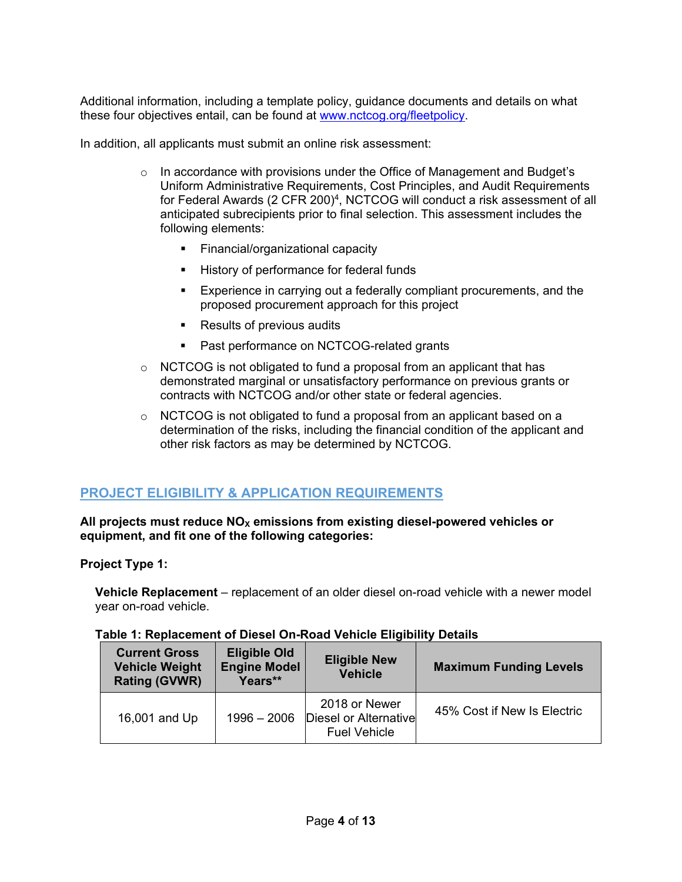Additional information, including a template policy, guidance documents and details on what these four objectives entail, can be found at [www.nctcog.org/fleetpolicy.](http://www.nctcog.org/fleetpolicy)

In addition, all applicants must submit an online risk assessment:

- $\circ$  In accordance with provisions under the Office of Management and Budget's Uniform Administrative Requirements, Cost Principles, and Audit Requirements for Federal Awards (2 CFR 200)<sup>4</sup>, NCTCOG will conduct a risk assessment of all anticipated subrecipients prior to final selection. This assessment includes the following elements:
	- **Financial/organizational capacity**
	- **History of performance for federal funds**
	- Experience in carrying out a federally compliant procurements, and the proposed procurement approach for this project
	- Results of previous audits
	- Past performance on NCTCOG-related grants
- $\circ$  NCTCOG is not obligated to fund a proposal from an applicant that has demonstrated marginal or unsatisfactory performance on previous grants or contracts with NCTCOG and/or other state or federal agencies.
- o NCTCOG is not obligated to fund a proposal from an applicant based on a determination of the risks, including the financial condition of the applicant and other risk factors as may be determined by NCTCOG.

## <span id="page-3-0"></span>**PROJECT ELIGIBILITY & APPLICATION REQUIREMENTS**

#### All projects must reduce NO<sub>X</sub> emissions from existing diesel-powered vehicles or **equipment, and fit one of the following categories:**

#### **Project Type 1:**

**Vehicle Replacement** – replacement of an older diesel on-road vehicle with a newer model year on-road vehicle.

#### **Table 1: Replacement of Diesel On-Road Vehicle Eligibility Details**

| <b>Current Gross</b><br><b>Vehicle Weight</b><br><b>Rating (GVWR)</b> | <b>Eligible Old</b><br><b>Engine Model</b><br>Years** | <b>Eligible New</b><br><b>Vehicle</b>                         | <b>Maximum Funding Levels</b> |  |
|-----------------------------------------------------------------------|-------------------------------------------------------|---------------------------------------------------------------|-------------------------------|--|
| 16,001 and Up                                                         | $1996 - 2006$                                         | 2018 or Newer<br>Diesel or Alternative<br><b>Fuel Vehicle</b> | 45% Cost if New Is Electric   |  |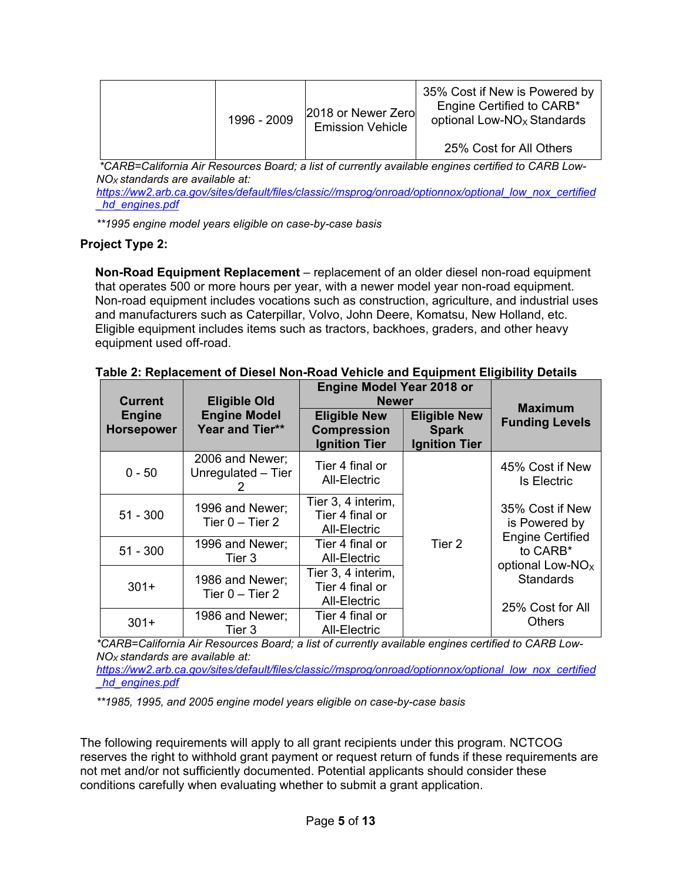| 1996 - 2009 | 2018 or Newer Zero<br><b>Emission Vehicle</b> | 35% Cost if New is Powered by<br>Engine Certified to CARB*<br>optional Low-NO <sub>x</sub> Standards |
|-------------|-----------------------------------------------|------------------------------------------------------------------------------------------------------|
|             |                                               | 25% Cost for All Others                                                                              |

*\*CARB=California Air Resources Board; a list of currently available engines certified to CARB Low-NOX standards are available at:*

*[https://ww2.arb.ca.gov/sites/default/files/classic//msprog/onroad/optionnox/optional\\_low\\_nox\\_certified](https://ww2.arb.ca.gov/sites/default/files/classic/msprog/onroad/optionnox/optional_low_nox_certified_hd_engines.pdf) [\\_hd\\_engines.pdf](https://ww2.arb.ca.gov/sites/default/files/classic/msprog/onroad/optionnox/optional_low_nox_certified_hd_engines.pdf)*

*\*\*1995 engine model years eligible on case-by-case basis*

#### **Project Type 2:**

**Non-Road Equipment Replacement** – replacement of an older diesel non-road equipment that operates 500 or more hours per year, with a newer model year non-road equipment. Non-road equipment includes vocations such as construction, agriculture, and industrial uses and manufacturers such as Caterpillar, Volvo, John Deere, Komatsu, New Holland, etc. Eligible equipment includes items such as tractors, backhoes, graders, and other heavy equipment used off-road.

| <b>Current</b>                     | <b>Eligible Old</b>                    | <b>Engine Model Year 2018 or</b><br><b>Newer</b>                  |                                                             | <b>Maximum</b>                                                       |
|------------------------------------|----------------------------------------|-------------------------------------------------------------------|-------------------------------------------------------------|----------------------------------------------------------------------|
| <b>Engine</b><br><b>Horsepower</b> | <b>Engine Model</b><br>Year and Tier** | <b>Eligible New</b><br><b>Compression</b><br><b>Ignition Tier</b> | <b>Eligible New</b><br><b>Spark</b><br><b>Ignition Tier</b> | <b>Funding Levels</b>                                                |
| $0 - 50$                           | 2006 and Newer;<br>Unregulated - Tier  | Tier 4 final or<br>All-Electric                                   | Tier 2                                                      | 45% Cost if New<br><b>Is Electric</b>                                |
| $51 - 300$                         | 1996 and Newer;<br>Tier $0 -$ Tier 2   | Tier 3, 4 interim,<br>Tier 4 final or<br>All-Electric             |                                                             | 35% Cost if New<br>is Powered by                                     |
| $51 - 300$                         | 1996 and Newer;<br>Tier 3              | Tier 4 final or<br><b>All-Electric</b>                            |                                                             | <b>Engine Certified</b><br>to CARB*                                  |
| $301+$                             | 1986 and Newer;<br>Tier $0 -$ Tier 2   | Tier 3, 4 interim,<br>Tier 4 final or<br>All-Electric             |                                                             | optional Low-NO <sub>x</sub><br><b>Standards</b><br>25% Cost for All |
| $301+$                             | 1986 and Newer;<br>Tier 3              | Tier 4 final or<br>All-Electric                                   |                                                             | <b>Others</b>                                                        |

**Table 2: Replacement of Diesel Non-Road Vehicle and Equipment Eligibility Details**

*\*CARB=California Air Resources Board; a list of currently available engines certified to CARB Low-NOX standards are available at:* 

*[https://ww2.arb.ca.gov/sites/default/files/classic//msprog/onroad/optionnox/optional\\_low\\_nox\\_certified](https://ww2.arb.ca.gov/sites/default/files/classic/msprog/onroad/optionnox/optional_low_nox_certified_hd_engines.pdf) [\\_hd\\_engines.pdf](https://ww2.arb.ca.gov/sites/default/files/classic/msprog/onroad/optionnox/optional_low_nox_certified_hd_engines.pdf)* 

*\*\*1985, 1995, and 2005 engine model years eligible on case-by-case basis*

The following requirements will apply to all grant recipients under this program. NCTCOG reserves the right to withhold grant payment or request return of funds if these requirements are not met and/or not sufficiently documented. Potential applicants should consider these conditions carefully when evaluating whether to submit a grant application.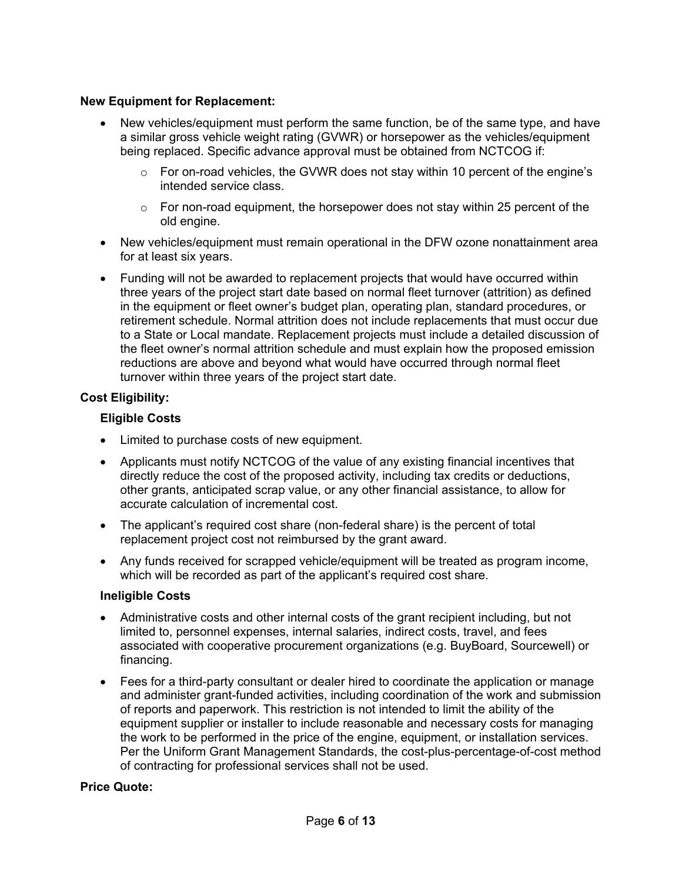#### **New Equipment for Replacement:**

- New vehicles/equipment must perform the same function, be of the same type, and have a similar gross vehicle weight rating (GVWR) or horsepower as the vehicles/equipment being replaced. Specific advance approval must be obtained from NCTCOG if:
	- $\circ$  For on-road vehicles, the GVWR does not stay within 10 percent of the engine's intended service class.
	- $\circ$  For non-road equipment, the horsepower does not stay within 25 percent of the old engine.
- New vehicles/equipment must remain operational in the DFW ozone nonattainment area for at least six years.
- Funding will not be awarded to replacement projects that would have occurred within three years of the project start date based on normal fleet turnover (attrition) as defined in the equipment or fleet owner's budget plan, operating plan, standard procedures, or retirement schedule. Normal attrition does not include replacements that must occur due to a State or Local mandate. Replacement projects must include a detailed discussion of the fleet owner's normal attrition schedule and must explain how the proposed emission reductions are above and beyond what would have occurred through normal fleet turnover within three years of the project start date.

#### **Cost Eligibility:**

#### **Eligible Costs**

- Limited to purchase costs of new equipment.
- Applicants must notify NCTCOG of the value of any existing financial incentives that directly reduce the cost of the proposed activity, including tax credits or deductions, other grants, anticipated scrap value, or any other financial assistance, to allow for accurate calculation of incremental cost.
- The applicant's required cost share (non-federal share) is the percent of total replacement project cost not reimbursed by the grant award.
- Any funds received for scrapped vehicle/equipment will be treated as program income, which will be recorded as part of the applicant's required cost share.

#### **Ineligible Costs**

- Administrative costs and other internal costs of the grant recipient including, but not limited to, personnel expenses, internal salaries, indirect costs, travel, and fees associated with cooperative procurement organizations (e.g. BuyBoard, Sourcewell) or financing.
- Fees for a third-party consultant or dealer hired to coordinate the application or manage and administer grant-funded activities, including coordination of the work and submission of reports and paperwork. This restriction is not intended to limit the ability of the equipment supplier or installer to include reasonable and necessary costs for managing the work to be performed in the price of the engine, equipment, or installation services. Per the Uniform Grant Management Standards, the cost-plus-percentage-of-cost method of contracting for professional services shall not be used.

#### **Price Quote:**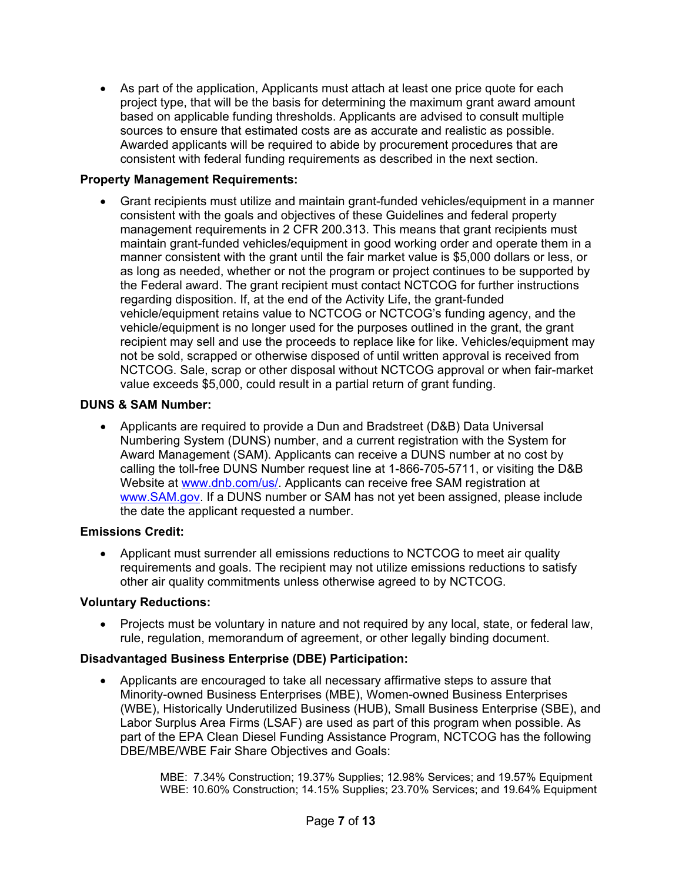• As part of the application, Applicants must attach at least one price quote for each project type, that will be the basis for determining the maximum grant award amount based on applicable funding thresholds. Applicants are advised to consult multiple sources to ensure that estimated costs are as accurate and realistic as possible. Awarded applicants will be required to abide by procurement procedures that are consistent with federal funding requirements as described in the next section.

### **Property Management Requirements:**

• Grant recipients must utilize and maintain grant-funded vehicles/equipment in a manner consistent with the goals and objectives of these Guidelines and federal property management requirements in 2 CFR 200.313. This means that grant recipients must maintain grant-funded vehicles/equipment in good working order and operate them in a manner consistent with the grant until the fair market value is \$5,000 dollars or less, or as long as needed, whether or not the program or project continues to be supported by the Federal award. The grant recipient must contact NCTCOG for further instructions regarding disposition. If, at the end of the Activity Life, the grant-funded vehicle/equipment retains value to NCTCOG or NCTCOG's funding agency, and the vehicle/equipment is no longer used for the purposes outlined in the grant, the grant recipient may sell and use the proceeds to replace like for like. Vehicles/equipment may not be sold, scrapped or otherwise disposed of until written approval is received from NCTCOG. Sale, scrap or other disposal without NCTCOG approval or when fair-market value exceeds \$5,000, could result in a partial return of grant funding.

#### **DUNS & SAM Number:**

• Applicants are required to provide a Dun and Bradstreet (D&B) Data Universal Numbering System (DUNS) number, and a current registration with the System for Award Management (SAM). Applicants can receive a DUNS number at no cost by calling the toll-free DUNS Number request line at 1-866-705-5711, or visiting the D&B Website at [www.dnb.com/us/.](http://www.dnb.com/us/) Applicants can receive free SAM registration at [www.SAM.gov.](http://www.sam.gov/) If a DUNS number or SAM has not yet been assigned, please include the date the applicant requested a number.

#### **Emissions Credit:**

• Applicant must surrender all emissions reductions to NCTCOG to meet air quality requirements and goals. The recipient may not utilize emissions reductions to satisfy other air quality commitments unless otherwise agreed to by NCTCOG.

#### **Voluntary Reductions:**

• Projects must be voluntary in nature and not required by any local, state, or federal law, rule, regulation, memorandum of agreement, or other legally binding document.

#### **Disadvantaged Business Enterprise (DBE) Participation:**

• Applicants are encouraged to take all necessary affirmative steps to assure that Minority-owned Business Enterprises (MBE), Women-owned Business Enterprises (WBE), Historically Underutilized Business (HUB), Small Business Enterprise (SBE), and Labor Surplus Area Firms (LSAF) are used as part of this program when possible. As part of the EPA Clean Diesel Funding Assistance Program, NCTCOG has the following DBE/MBE/WBE Fair Share Objectives and Goals:

> MBE: 7.34% Construction; 19.37% Supplies; 12.98% Services; and 19.57% Equipment WBE: 10.60% Construction; 14.15% Supplies; 23.70% Services; and 19.64% Equipment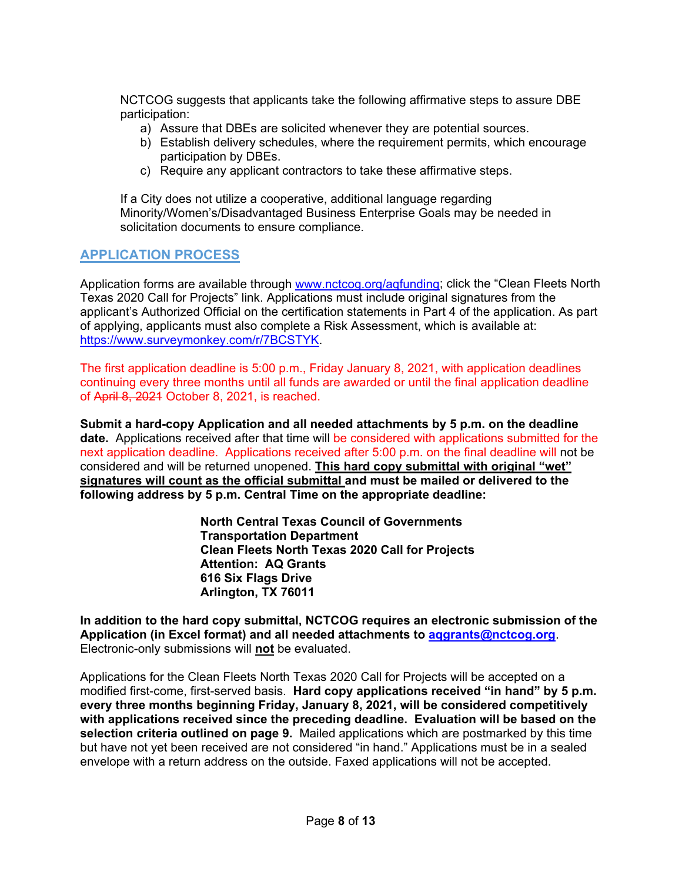NCTCOG suggests that applicants take the following affirmative steps to assure DBE participation:

- a) Assure that DBEs are solicited whenever they are potential sources.
- b) Establish delivery schedules, where the requirement permits, which encourage participation by DBEs.
- c) Require any applicant contractors to take these affirmative steps.

If a City does not utilize a cooperative, additional language regarding Minority/Women's/Disadvantaged Business Enterprise Goals may be needed in solicitation documents to ensure compliance.

# <span id="page-7-0"></span>**APPLICATION PROCESS**

Application forms are available through [www.nctcog.org/aqfunding;](http://www.nctcog.org/aqfunding) click the "Clean Fleets North Texas 2020 Call for Projects" link. Applications must include original signatures from the applicant's Authorized Official on the certification statements in Part 4 of the application. As part of applying, applicants must also complete a Risk Assessment, which is available at: [https://www.surveymonkey.com/r/7BCSTYK.](https://www.surveymonkey.com/r/7BCSTYK)

The first application deadline is 5:00 p.m., Friday January 8, 2021, with application deadlines continuing every three months until all funds are awarded or until the final application deadline of April 8, 2021 October 8, 2021, is reached.

**Submit a hard-copy Application and all needed attachments by 5 p.m. on the deadline date.** Applications received after that time will be considered with applications submitted for the next application deadline. Applications received after 5:00 p.m. on the final deadline will not be considered and will be returned unopened. **This hard copy submittal with original "wet" signatures will count as the official submittal and must be mailed or delivered to the following address by 5 p.m. Central Time on the appropriate deadline:**

> **North Central Texas Council of Governments Transportation Department Clean Fleets North Texas 2020 Call for Projects Attention: AQ Grants 616 Six Flags Drive Arlington, TX 76011**

**In addition to the hard copy submittal, NCTCOG requires an electronic submission of the Application (in Excel format) and all needed attachments to [aqgrants@nctcog.org](mailto:aqgrants@nctcog.org)**. Electronic-only submissions will **not** be evaluated.

Applications for the Clean Fleets North Texas 2020 Call for Projects will be accepted on a modified first-come, first-served basis. **Hard copy applications received "in hand" by 5 p.m. every three months beginning Friday, January 8, 2021, will be considered competitively with applications received since the preceding deadline. Evaluation will be based on the selection criteria outlined on page 9.** Mailed applications which are postmarked by this time but have not yet been received are not considered "in hand." Applications must be in a sealed envelope with a return address on the outside. Faxed applications will not be accepted.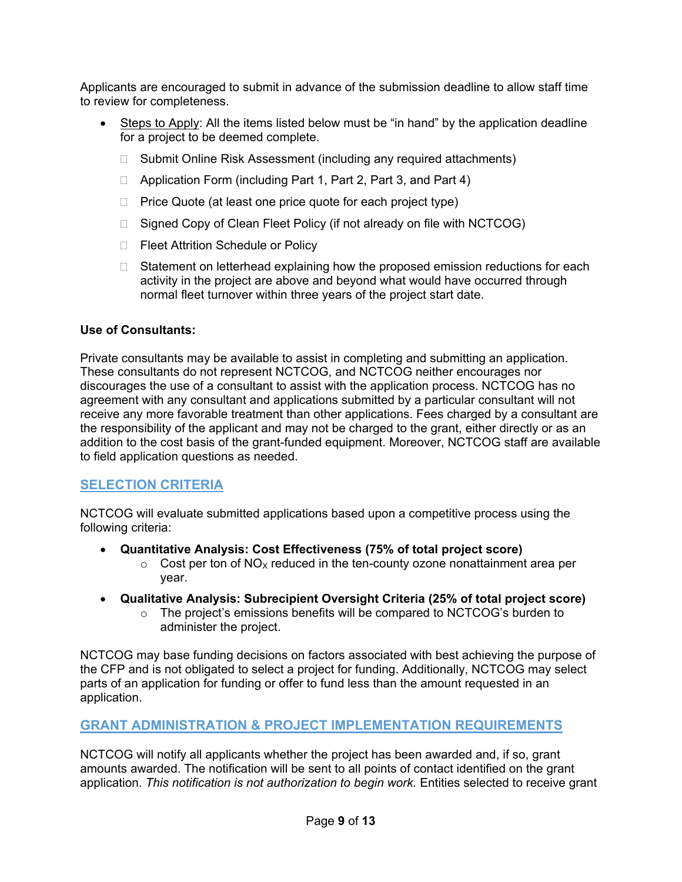Applicants are encouraged to submit in advance of the submission deadline to allow staff time to review for completeness.

- Steps to Apply: All the items listed below must be "in hand" by the application deadline for a project to be deemed complete.
	- □ Submit Online Risk Assessment (including any required attachments)
	- □ Application Form (including Part 1, Part 2, Part 3, and Part 4)
	- $\Box$  Price Quote (at least one price quote for each project type)
	- □ Signed Copy of Clean Fleet Policy (if not already on file with NCTCOG)
	- □ Fleet Attrition Schedule or Policy
	- $\Box$  Statement on letterhead explaining how the proposed emission reductions for each activity in the project are above and beyond what would have occurred through normal fleet turnover within three years of the project start date.

## **Use of Consultants:**

Private consultants may be available to assist in completing and submitting an application. These consultants do not represent NCTCOG, and NCTCOG neither encourages nor discourages the use of a consultant to assist with the application process. NCTCOG has no agreement with any consultant and applications submitted by a particular consultant will not receive any more favorable treatment than other applications. Fees charged by a consultant are the responsibility of the applicant and may not be charged to the grant, either directly or as an addition to the cost basis of the grant-funded equipment. Moreover, NCTCOG staff are available to field application questions as needed.

# <span id="page-8-0"></span>**SELECTION CRITERIA**

NCTCOG will evaluate submitted applications based upon a competitive process using the following criteria:

- **Quantitative Analysis: Cost Effectiveness (75% of total project score)**
	- $\circ$  Cost per ton of NO<sub>x</sub> reduced in the ten-county ozone nonattainment area per year.
- **Qualitative Analysis: Subrecipient Oversight Criteria (25% of total project score)**
	- o The project's emissions benefits will be compared to NCTCOG's burden to administer the project.

NCTCOG may base funding decisions on factors associated with best achieving the purpose of the CFP and is not obligated to select a project for funding. Additionally, NCTCOG may select parts of an application for funding or offer to fund less than the amount requested in an application.

# <span id="page-8-1"></span>**GRANT ADMINISTRATION & PROJECT IMPLEMENTATION REQUIREMENTS**

NCTCOG will notify all applicants whether the project has been awarded and, if so, grant amounts awarded. The notification will be sent to all points of contact identified on the grant application. *This notification is not authorization to begin work.* Entities selected to receive grant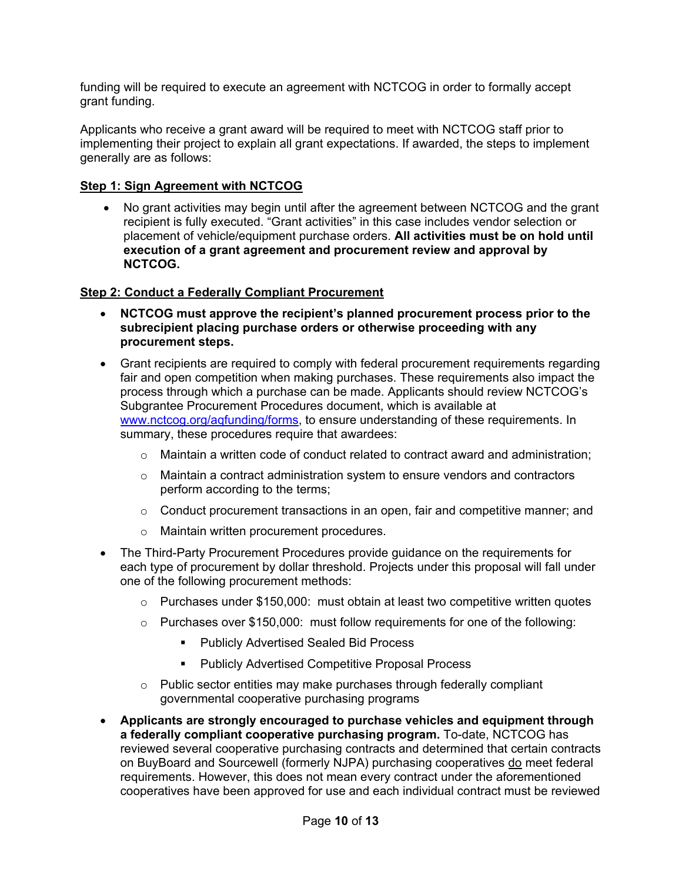funding will be required to execute an agreement with NCTCOG in order to formally accept grant funding.

Applicants who receive a grant award will be required to meet with NCTCOG staff prior to implementing their project to explain all grant expectations. If awarded, the steps to implement generally are as follows:

#### **Step 1: Sign Agreement with NCTCOG**

• No grant activities may begin until after the agreement between NCTCOG and the grant recipient is fully executed. "Grant activities" in this case includes vendor selection or placement of vehicle/equipment purchase orders. **All activities must be on hold until execution of a grant agreement and procurement review and approval by NCTCOG.**

#### **Step 2: Conduct a Federally Compliant Procurement**

- **NCTCOG must approve the recipient's planned procurement process prior to the subrecipient placing purchase orders or otherwise proceeding with any procurement steps.**
- Grant recipients are required to comply with federal procurement requirements regarding fair and open competition when making purchases. These requirements also impact the process through which a purchase can be made. Applicants should review NCTCOG's Subgrantee Procurement Procedures document, which is available at [www.nctcog.org/aqfunding/forms,](http://www.nctcog.org/aqfunding/forms) to ensure understanding of these requirements. In summary, these procedures require that awardees:
	- $\circ$  Maintain a written code of conduct related to contract award and administration;
	- $\circ$  Maintain a contract administration system to ensure vendors and contractors perform according to the terms;
	- $\circ$  Conduct procurement transactions in an open, fair and competitive manner; and
	- o Maintain written procurement procedures.
- The Third-Party Procurement Procedures provide guidance on the requirements for each type of procurement by dollar threshold. Projects under this proposal will fall under one of the following procurement methods:
	- $\circ$  Purchases under \$150,000: must obtain at least two competitive written quotes
	- $\circ$  Purchases over \$150,000: must follow requirements for one of the following:
		- **Publicly Advertised Sealed Bid Process**
		- Publicly Advertised Competitive Proposal Process
	- $\circ$  Public sector entities may make purchases through federally compliant governmental cooperative purchasing programs
- **Applicants are strongly encouraged to purchase vehicles and equipment through a federally compliant cooperative purchasing program.** To-date, NCTCOG has reviewed several cooperative purchasing contracts and determined that certain contracts on BuyBoard and Sourcewell (formerly NJPA) purchasing cooperatives do meet federal requirements. However, this does not mean every contract under the aforementioned cooperatives have been approved for use and each individual contract must be reviewed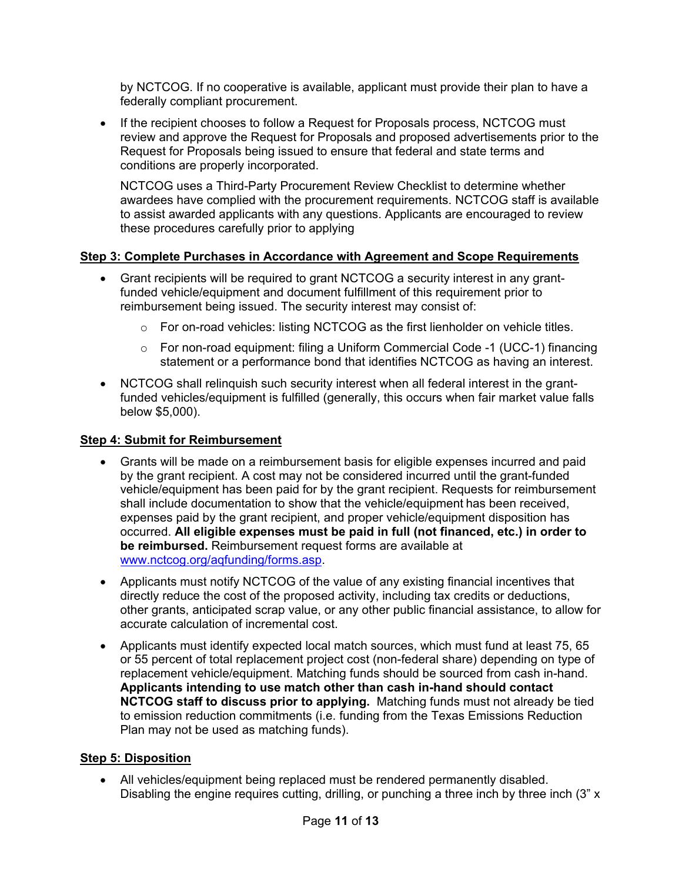by NCTCOG. If no cooperative is available, applicant must provide their plan to have a federally compliant procurement.

• If the recipient chooses to follow a Request for Proposals process, NCTCOG must review and approve the Request for Proposals and proposed advertisements prior to the Request for Proposals being issued to ensure that federal and state terms and conditions are properly incorporated.

NCTCOG uses a Third-Party Procurement Review Checklist to determine whether awardees have complied with the procurement requirements. NCTCOG staff is available to assist awarded applicants with any questions. Applicants are encouraged to review these procedures carefully prior to applying

## **Step 3: Complete Purchases in Accordance with Agreement and Scope Requirements**

- Grant recipients will be required to grant NCTCOG a security interest in any grantfunded vehicle/equipment and document fulfillment of this requirement prior to reimbursement being issued. The security interest may consist of:
	- $\circ$  For on-road vehicles: listing NCTCOG as the first lienholder on vehicle titles.
	- o For non-road equipment: filing a Uniform Commercial Code -1 (UCC-1) financing statement or a performance bond that identifies NCTCOG as having an interest.
- NCTCOG shall relinquish such security interest when all federal interest in the grantfunded vehicles/equipment is fulfilled (generally, this occurs when fair market value falls below \$5,000).

## **Step 4: Submit for Reimbursement**

- Grants will be made on a reimbursement basis for eligible expenses incurred and paid by the grant recipient. A cost may not be considered incurred until the grant-funded vehicle/equipment has been paid for by the grant recipient. Requests for reimbursement shall include documentation to show that the vehicle/equipment has been received, expenses paid by the grant recipient, and proper vehicle/equipment disposition has occurred. **All eligible expenses must be paid in full (not financed, etc.) in order to be reimbursed.** Reimbursement request forms are available at [www.nctcog.org/aqfunding/forms.asp.](http://www.nctcog.org/aqfunding/forms.asp)
- Applicants must notify NCTCOG of the value of any existing financial incentives that directly reduce the cost of the proposed activity, including tax credits or deductions, other grants, anticipated scrap value, or any other public financial assistance, to allow for accurate calculation of incremental cost.
- Applicants must identify expected local match sources, which must fund at least 75, 65 or 55 percent of total replacement project cost (non-federal share) depending on type of replacement vehicle/equipment. Matching funds should be sourced from cash in-hand. **Applicants intending to use match other than cash in-hand should contact NCTCOG staff to discuss prior to applying.** Matching funds must not already be tied to emission reduction commitments (i.e. funding from the Texas Emissions Reduction Plan may not be used as matching funds).

## **Step 5: Disposition**

• All vehicles/equipment being replaced must be rendered permanently disabled. Disabling the engine requires cutting, drilling, or punching a three inch by three inch  $(3" \times$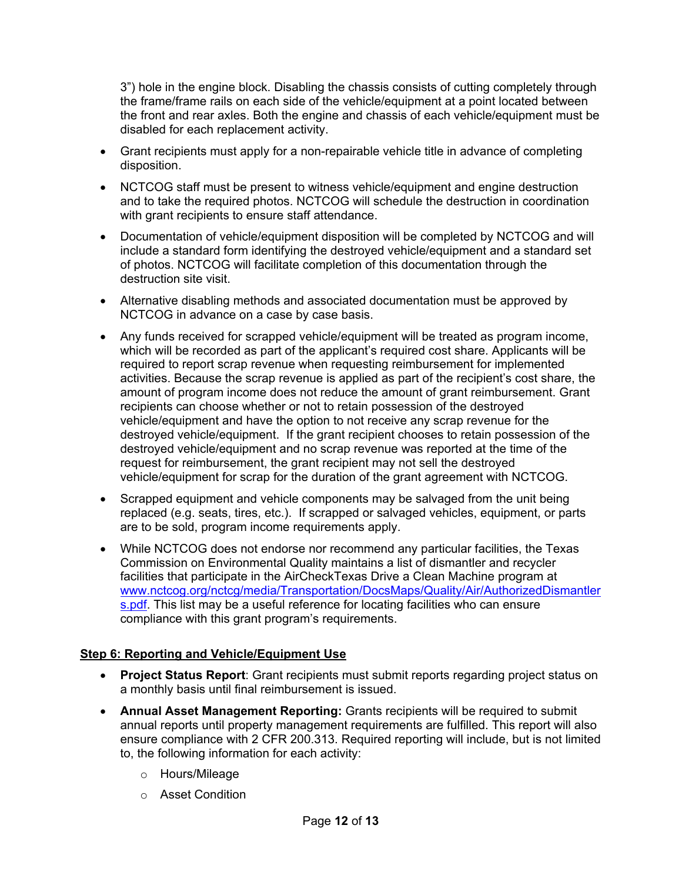3") hole in the engine block. Disabling the chassis consists of cutting completely through the frame/frame rails on each side of the vehicle/equipment at a point located between the front and rear axles. Both the engine and chassis of each vehicle/equipment must be disabled for each replacement activity.

- Grant recipients must apply for a non-repairable vehicle title in advance of completing disposition.
- NCTCOG staff must be present to witness vehicle/equipment and engine destruction and to take the required photos. NCTCOG will schedule the destruction in coordination with grant recipients to ensure staff attendance.
- Documentation of vehicle/equipment disposition will be completed by NCTCOG and will include a standard form identifying the destroyed vehicle/equipment and a standard set of photos. NCTCOG will facilitate completion of this documentation through the destruction site visit.
- Alternative disabling methods and associated documentation must be approved by NCTCOG in advance on a case by case basis.
- Any funds received for scrapped vehicle/equipment will be treated as program income, which will be recorded as part of the applicant's required cost share. Applicants will be required to report scrap revenue when requesting reimbursement for implemented activities. Because the scrap revenue is applied as part of the recipient's cost share, the amount of program income does not reduce the amount of grant reimbursement. Grant recipients can choose whether or not to retain possession of the destroyed vehicle/equipment and have the option to not receive any scrap revenue for the destroyed vehicle/equipment. If the grant recipient chooses to retain possession of the destroyed vehicle/equipment and no scrap revenue was reported at the time of the request for reimbursement, the grant recipient may not sell the destroyed vehicle/equipment for scrap for the duration of the grant agreement with NCTCOG.
- Scrapped equipment and vehicle components may be salvaged from the unit being replaced (e.g. seats, tires, etc.). If scrapped or salvaged vehicles, equipment, or parts are to be sold, program income requirements apply.
- While NCTCOG does not endorse nor recommend any particular facilities, the Texas Commission on Environmental Quality maintains a list of dismantler and recycler facilities that participate in the AirCheckTexas Drive a Clean Machine program at [www.nctcog.org/nctcg/media/Transportation/DocsMaps/Quality/Air/AuthorizedDismantler](http://www.nctcog.org/nctcg/media/Transportation/DocsMaps/Quality/Air/AuthorizedDismantlers.pdf) [s.pdf.](http://www.nctcog.org/nctcg/media/Transportation/DocsMaps/Quality/Air/AuthorizedDismantlers.pdf) This list may be a useful reference for locating facilities who can ensure compliance with this grant program's requirements.

## **Step 6: Reporting and Vehicle/Equipment Use**

- **Project Status Report**: Grant recipients must submit reports regarding project status on a monthly basis until final reimbursement is issued.
- **Annual Asset Management Reporting:** Grants recipients will be required to submit annual reports until property management requirements are fulfilled. This report will also ensure compliance with 2 CFR 200.313. Required reporting will include, but is not limited to, the following information for each activity:
	- o Hours/Mileage
	- o Asset Condition